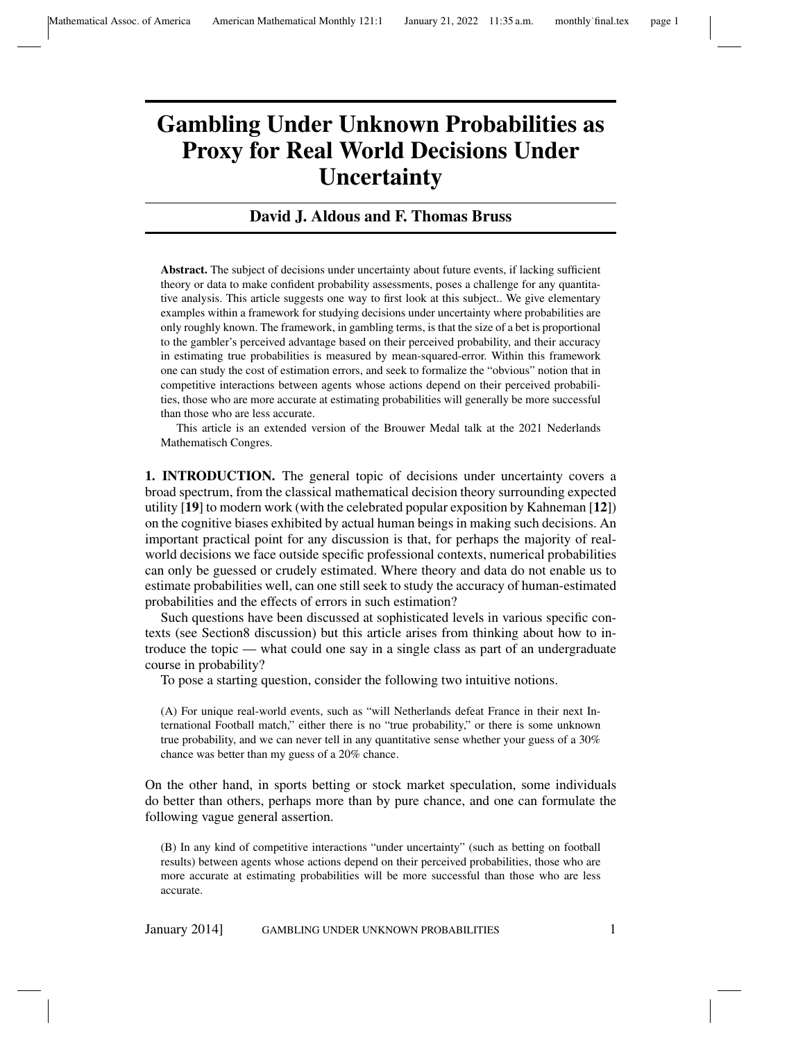## Gambling Under Unknown Probabilities as Proxy for Real World Decisions Under **Uncertainty**

## David J. Aldous and F. Thomas Bruss

Abstract. The subject of decisions under uncertainty about future events, if lacking sufficient theory or data to make confident probability assessments, poses a challenge for any quantitative analysis. This article suggests one way to first look at this subject.. We give elementary examples within a framework for studying decisions under uncertainty where probabilities are only roughly known. The framework, in gambling terms, is that the size of a bet is proportional to the gambler's perceived advantage based on their perceived probability, and their accuracy in estimating true probabilities is measured by mean-squared-error. Within this framework one can study the cost of estimation errors, and seek to formalize the "obvious" notion that in competitive interactions between agents whose actions depend on their perceived probabilities, those who are more accurate at estimating probabilities will generally be more successful than those who are less accurate.

This article is an extended version of the Brouwer Medal talk at the 2021 Nederlands Mathematisch Congres.

1. INTRODUCTION. The general topic of decisions under uncertainty covers a broad spectrum, from the classical mathematical decision theory surrounding expected utility [19] to modern work (with the celebrated popular exposition by Kahneman [12]) on the cognitive biases exhibited by actual human beings in making such decisions. An important practical point for any discussion is that, for perhaps the majority of realworld decisions we face outside specific professional contexts, numerical probabilities can only be guessed or crudely estimated. Where theory and data do not enable us to estimate probabilities well, can one still seek to study the accuracy of human-estimated probabilities and the effects of errors in such estimation?

Such questions have been discussed at sophisticated levels in various specific contexts (see Section8 discussion) but this article arises from thinking about how to introduce the topic — what could one say in a single class as part of an undergraduate course in probability?

To pose a starting question, consider the following two intuitive notions.

(A) For unique real-world events, such as "will Netherlands defeat France in their next International Football match," either there is no "true probability," or there is some unknown true probability, and we can never tell in any quantitative sense whether your guess of a 30% chance was better than my guess of a 20% chance.

On the other hand, in sports betting or stock market speculation, some individuals do better than others, perhaps more than by pure chance, and one can formulate the following vague general assertion.

(B) In any kind of competitive interactions "under uncertainty" (such as betting on football results) between agents whose actions depend on their perceived probabilities, those who are more accurate at estimating probabilities will be more successful than those who are less accurate.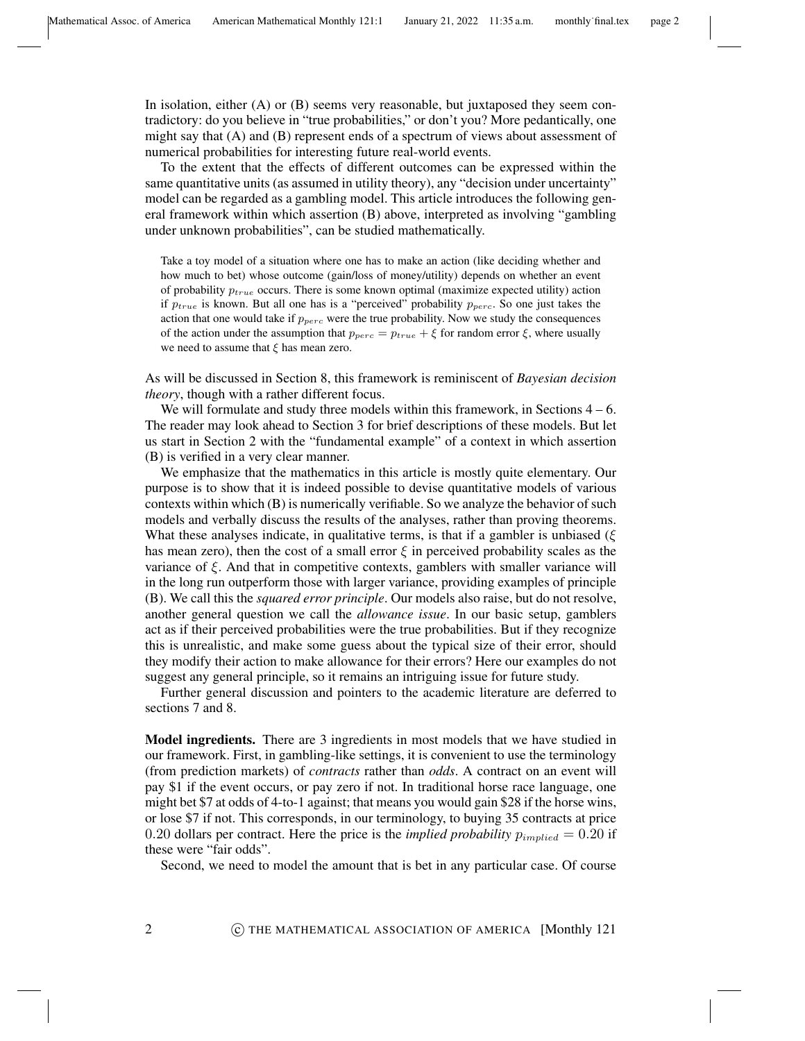In isolation, either (A) or (B) seems very reasonable, but juxtaposed they seem contradictory: do you believe in "true probabilities," or don't you? More pedantically, one might say that (A) and (B) represent ends of a spectrum of views about assessment of numerical probabilities for interesting future real-world events.

To the extent that the effects of different outcomes can be expressed within the same quantitative units (as assumed in utility theory), any "decision under uncertainty" model can be regarded as a gambling model. This article introduces the following general framework within which assertion (B) above, interpreted as involving "gambling under unknown probabilities", can be studied mathematically.

Take a toy model of a situation where one has to make an action (like deciding whether and how much to bet) whose outcome (gain/loss of money/utility) depends on whether an event of probability  $p_{true}$  occurs. There is some known optimal (maximize expected utility) action if  $p_{true}$  is known. But all one has is a "perceived" probability  $p_{perc}$ . So one just takes the action that one would take if  $p_{perc}$  were the true probability. Now we study the consequences of the action under the assumption that  $p_{perc} = p_{true} + \xi$  for random error  $\xi$ , where usually we need to assume that  $\xi$  has mean zero.

As will be discussed in Section 8, this framework is reminiscent of *Bayesian decision theory*, though with a rather different focus.

We will formulate and study three models within this framework, in Sections  $4 - 6$ . The reader may look ahead to Section 3 for brief descriptions of these models. But let us start in Section 2 with the "fundamental example" of a context in which assertion (B) is verified in a very clear manner.

We emphasize that the mathematics in this article is mostly quite elementary. Our purpose is to show that it is indeed possible to devise quantitative models of various contexts within which (B) is numerically verifiable. So we analyze the behavior of such models and verbally discuss the results of the analyses, rather than proving theorems. What these analyses indicate, in qualitative terms, is that if a gambler is unbiased ( $\xi$ ) has mean zero), then the cost of a small error  $\xi$  in perceived probability scales as the variance of  $\xi$ . And that in competitive contexts, gamblers with smaller variance will in the long run outperform those with larger variance, providing examples of principle (B). We call this the *squared error principle*. Our models also raise, but do not resolve, another general question we call the *allowance issue*. In our basic setup, gamblers act as if their perceived probabilities were the true probabilities. But if they recognize this is unrealistic, and make some guess about the typical size of their error, should they modify their action to make allowance for their errors? Here our examples do not suggest any general principle, so it remains an intriguing issue for future study.

Further general discussion and pointers to the academic literature are deferred to sections 7 and 8.

**Model ingredients.** There are 3 ingredients in most models that we have studied in our framework. First, in gambling-like settings, it is convenient to use the terminology (from prediction markets) of *contracts* rather than *odds*. A contract on an event will pay \$1 if the event occurs, or pay zero if not. In traditional horse race language, one might bet \$7 at odds of 4-to-1 against; that means you would gain \$28 if the horse wins, or lose \$7 if not. This corresponds, in our terminology, to buying 35 contracts at price 0.20 dollars per contract. Here the price is the *implied probability*  $p_{implied} = 0.20$  if these were "fair odds".

Second, we need to model the amount that is bet in any particular case. Of course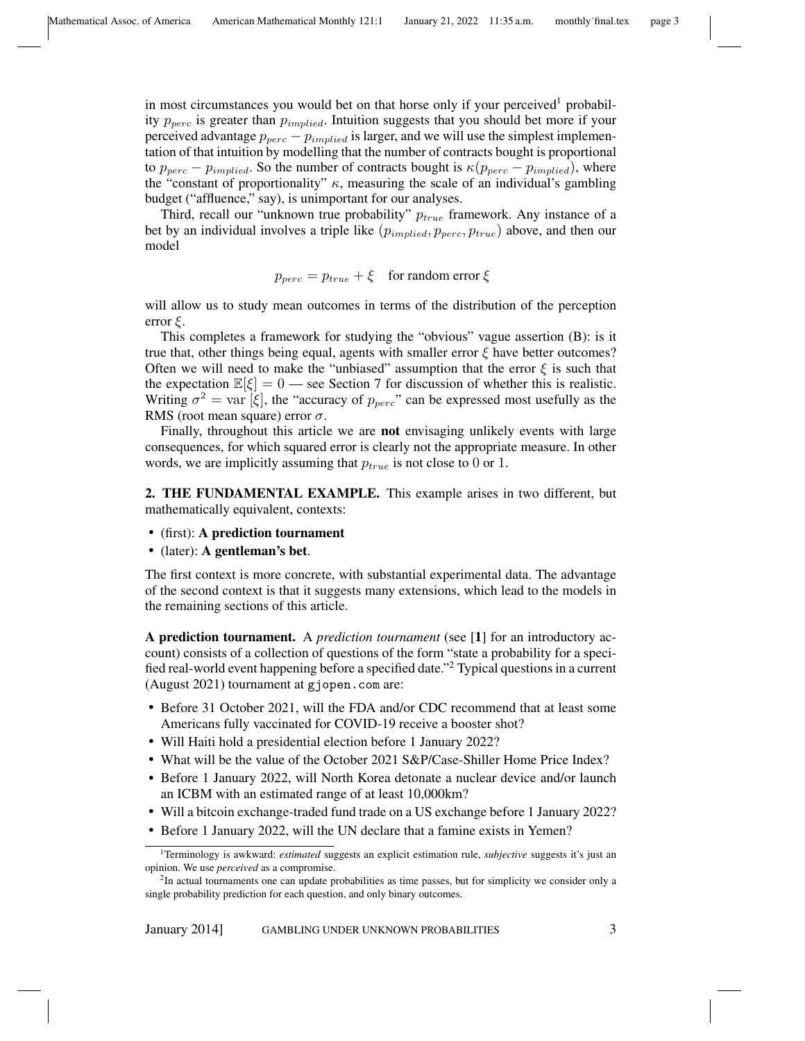in most circumstances you would bet on that horse only if your perceived<sup>1</sup> probability  $p_{perc}$  is greater than  $p_{implied}$ . Intuition suggests that you should bet more if your perceived advantage  $p_{perc} - p_{implied}$  is larger, and we will use the simplest implementation of that intuition by modelling that the number of contracts bought is proportional to  $p_{perc} - p_{implied}$ . So the number of contracts bought is  $\kappa(p_{perc} - p_{implied})$ , where the "constant of proportionality"  $\kappa$ , measuring the scale of an individual's gambling budget ("affluence," say), is unimportant for our analyses.

Third, recall our "unknown true probability"  $p_{true}$  framework. Any instance of a bet by an individual involves a triple like  $(p_{implied}, p_{perc}, p_{true})$  above, and then our model

$$
p_{perc} = p_{true} + \xi \quad \text{for random error } \xi
$$

will allow us to study mean outcomes in terms of the distribution of the perception error  $\xi$ .

This completes a framework for studying the "obvious" vague assertion (B): is it true that, other things being equal, agents with smaller error  $\xi$  have better outcomes? Often we will need to make the "unbiased" assumption that the error  $\xi$  is such that the expectation  $\mathbb{E}[\xi] = 0$  — see Section 7 for discussion of whether this is realistic. Writing  $\sigma^2 = \text{var}[\xi]$ , the "accuracy of  $p_{perc}$ " can be expressed most usefully as the RMS (root mean square) error  $\sigma$ .

Finally, throughout this article we are not envisaging unlikely events with large consequences, for which squared error is clearly not the appropriate measure. In other words, we are implicitly assuming that  $p_{true}$  is not close to 0 or 1.

2. THE FUNDAMENTAL EXAMPLE. This example arises in two different, but mathematically equivalent, contexts:

- (first): A prediction tournament
- (later): A gentleman's bet.

The first context is more concrete, with substantial experimental data. The advantage of the second context is that it suggests many extensions, which lead to the models in the remaining sections of this article.

A prediction tournament. A *prediction tournament* (see [1] for an introductory account) consists of a collection of questions of the form "state a probability for a specified real-world event happening before a specified date."<sup>2</sup> Typical questions in a current (August 2021) tournament at gjopen.com are:

- Before 31 October 2021, will the FDA and/or CDC recommend that at least some Americans fully vaccinated for COVID-19 receive a booster shot?
- Will Haiti hold a presidential election before 1 January 2022?
- What will be the value of the October 2021 S&P/Case-Shiller Home Price Index?
- Before 1 January 2022, will North Korea detonate a nuclear device and/or launch an ICBM with an estimated range of at least 10,000km?
- Will a bitcoin exchange-traded fund trade on a US exchange before 1 January 2022?
- Before 1 January 2022, will the UN declare that a famine exists in Yemen?

<sup>1</sup>Terminology is awkward: *estimated* suggests an explicit estimation rule, *subjective* suggests it's just an opinion. We use *perceived* as a compromise.

<sup>&</sup>lt;sup>2</sup>In actual tournaments one can update probabilities as time passes, but for simplicity we consider only a single probability prediction for each question, and only binary outcomes.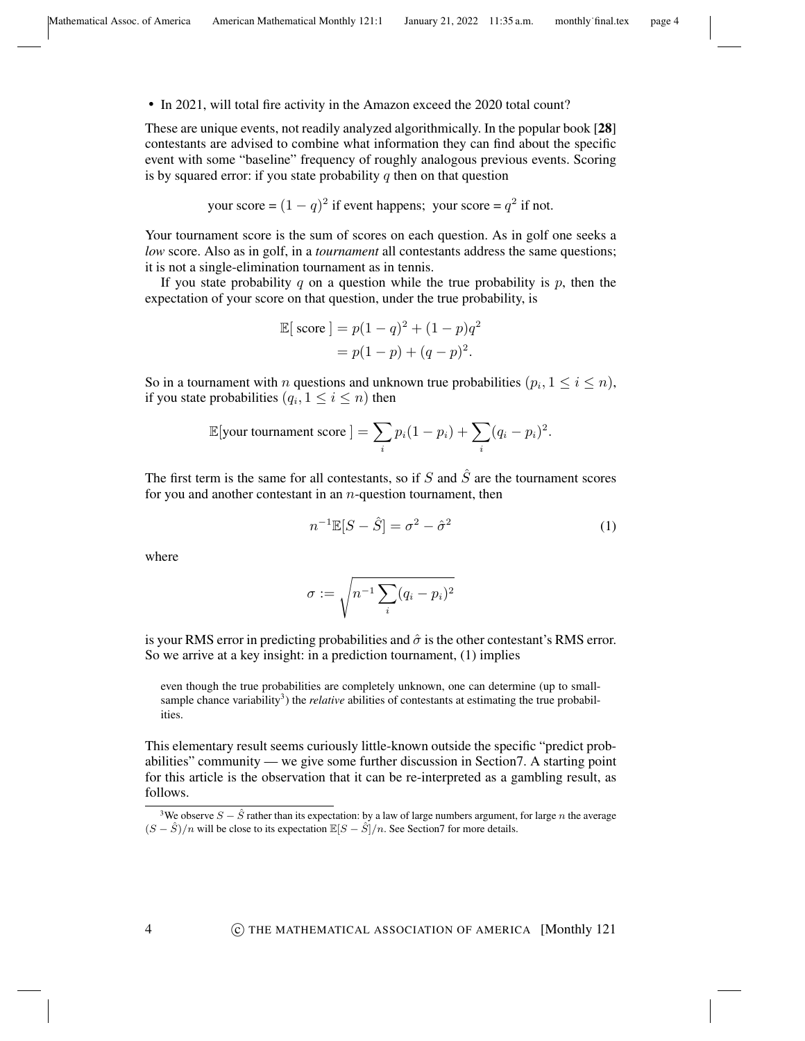• In 2021, will total fire activity in the Amazon exceed the 2020 total count?

These are unique events, not readily analyzed algorithmically. In the popular book [28] contestants are advised to combine what information they can find about the specific event with some "baseline" frequency of roughly analogous previous events. Scoring is by squared error: if you state probability  $q$  then on that question

your score = 
$$
(1 - q)^2
$$
 if event happens; your score =  $q^2$  if not.

Your tournament score is the sum of scores on each question. As in golf one seeks a *low* score. Also as in golf, in a *tournament* all contestants address the same questions; it is not a single-elimination tournament as in tennis.

If you state probability q on a question while the true probability is  $p$ , then the expectation of your score on that question, under the true probability, is

$$
\mathbb{E}[\text{score}] = p(1-q)^2 + (1-p)q^2
$$

$$
= p(1-p) + (q-p)^2.
$$

So in a tournament with n questions and unknown true probabilities  $(p_i, 1 \le i \le n)$ , if you state probabilities  $(q_i, 1 \leq i \leq n)$  then

$$
\mathbb{E}[\text{your tournament score}] = \sum_{i} p_i (1 - p_i) + \sum_{i} (q_i - p_i)^2.
$$

The first term is the same for all contestants, so if S and  $\hat{S}$  are the tournament scores for you and another contestant in an  $n$ -question tournament, then

$$
n^{-1}\mathbb{E}[S-\hat{S}] = \sigma^2 - \hat{\sigma}^2 \tag{1}
$$

where

$$
\sigma:=\sqrt{n^{-1}\sum_i (q_i-p_i)^2}
$$

is your RMS error in predicting probabilities and  $\hat{\sigma}$  is the other contestant's RMS error. So we arrive at a key insight: in a prediction tournament, (1) implies

even though the true probabilities are completely unknown, one can determine (up to smallsample chance variability<sup>3</sup>) the *relative* abilities of contestants at estimating the true probabilities.

This elementary result seems curiously little-known outside the specific "predict probabilities" community — we give some further discussion in Section7. A starting point for this article is the observation that it can be re-interpreted as a gambling result, as follows.

<sup>&</sup>lt;sup>3</sup>We observe  $S - \hat{S}$  rather than its expectation: by a law of large numbers argument, for large *n* the average  $(S - \hat{S})/n$  will be close to its expectation  $\mathbb{E}[S - \hat{S}]/n$ . See Section7 for more details.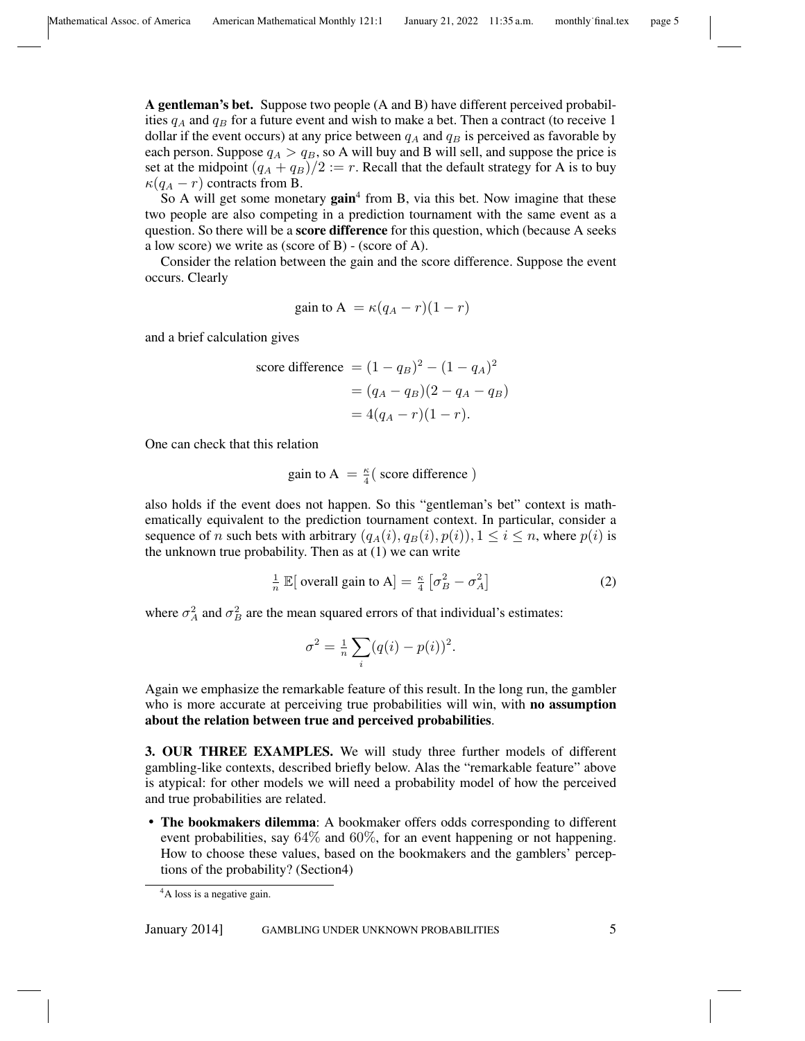A gentleman's bet. Suppose two people (A and B) have different perceived probabilities  $q_A$  and  $q_B$  for a future event and wish to make a bet. Then a contract (to receive 1 dollar if the event occurs) at any price between  $q_A$  and  $q_B$  is perceived as favorable by each person. Suppose  $q_A > q_B$ , so A will buy and B will sell, and suppose the price is set at the midpoint  $(q_A + q_B)/2 := r$ . Recall that the default strategy for A is to buy  $\kappa(q_A - r)$  contracts from B.

So A will get some monetary gain<sup>4</sup> from B, via this bet. Now imagine that these two people are also competing in a prediction tournament with the same event as a question. So there will be a **score difference** for this question, which (because A seeks a low score) we write as (score of B) - (score of A).

Consider the relation between the gain and the score difference. Suppose the event occurs. Clearly

gain to A = 
$$
\kappa (q_A - r)(1 - r)
$$

and a brief calculation gives

score difference = 
$$
(1 - q_B)^2 - (1 - q_A)^2
$$
  
=  $(q_A - q_B)(2 - q_A - q_B)$   
=  $4(q_A - r)(1 - r)$ .

One can check that this relation

gain to A = 
$$
\frac{\kappa}{4}
$$
 (score difference)

also holds if the event does not happen. So this "gentleman's bet" context is mathematically equivalent to the prediction tournament context. In particular, consider a sequence of n such bets with arbitrary  $(q_A(i), q_B(i), p(i))$ ,  $1 \le i \le n$ , where  $p(i)$  is the unknown true probability. Then as at  $(1)$  we can write

$$
\frac{1}{n} \mathbb{E}[\text{ overall gain to A}] = \frac{\kappa}{4} \left[ \sigma_B^2 - \sigma_A^2 \right] \tag{2}
$$

where  $\sigma_A^2$  and  $\sigma_B^2$  are the mean squared errors of that individual's estimates:

$$
\sigma^2 = \frac{1}{n} \sum_i (q(i) - p(i))^2.
$$

Again we emphasize the remarkable feature of this result. In the long run, the gambler who is more accurate at perceiving true probabilities will win, with **no assumption** about the relation between true and perceived probabilities.

3. OUR THREE EXAMPLES. We will study three further models of different gambling-like contexts, described briefly below. Alas the "remarkable feature" above is atypical: for other models we will need a probability model of how the perceived and true probabilities are related.

• The bookmakers dilemma: A bookmaker offers odds corresponding to different event probabilities, say  $64\%$  and  $60\%$ , for an event happening or not happening. How to choose these values, based on the bookmakers and the gamblers' perceptions of the probability? (Section4)

<sup>&</sup>lt;sup>4</sup>A loss is a negative gain.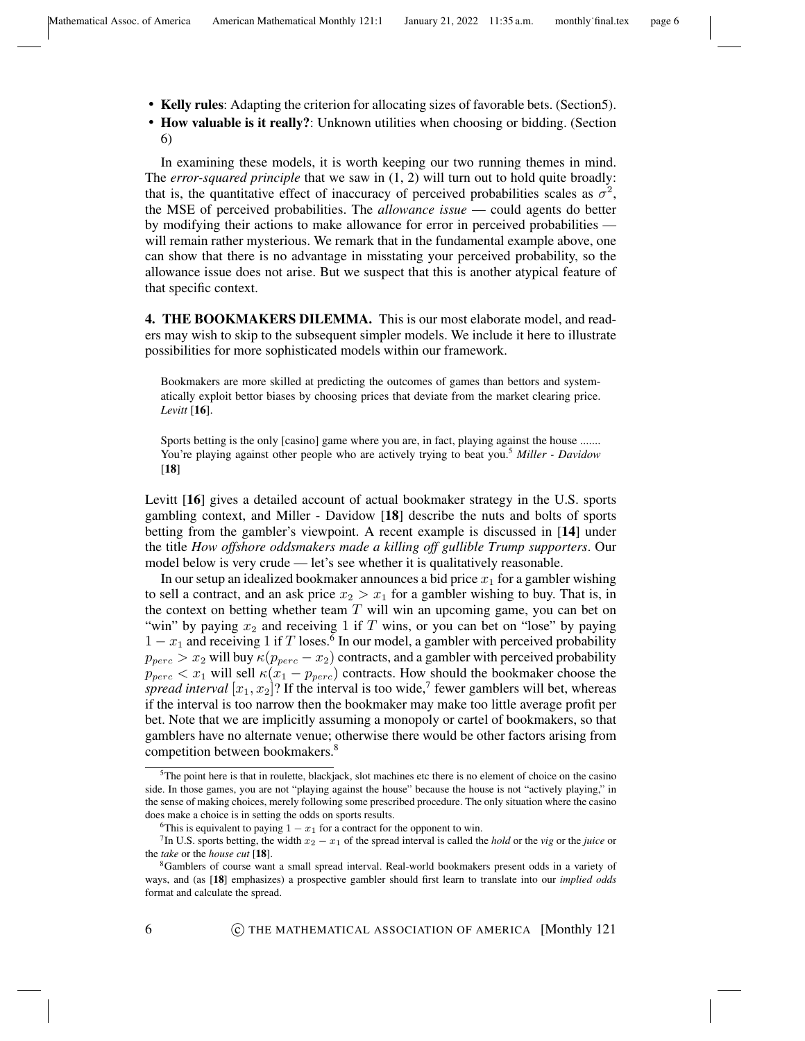- Kelly rules: Adapting the criterion for allocating sizes of favorable bets. (Section5).
- How valuable is it really?: Unknown utilities when choosing or bidding. (Section 6)

In examining these models, it is worth keeping our two running themes in mind. The *error-squared principle* that we saw in (1, 2) will turn out to hold quite broadly: that is, the quantitative effect of inaccuracy of perceived probabilities scales as  $\sigma^2$ , the MSE of perceived probabilities. The *allowance issue* — could agents do better by modifying their actions to make allowance for error in perceived probabilities will remain rather mysterious. We remark that in the fundamental example above, one can show that there is no advantage in misstating your perceived probability, so the allowance issue does not arise. But we suspect that this is another atypical feature of that specific context.

4. THE BOOKMAKERS DILEMMA. This is our most elaborate model, and readers may wish to skip to the subsequent simpler models. We include it here to illustrate possibilities for more sophisticated models within our framework.

Bookmakers are more skilled at predicting the outcomes of games than bettors and systematically exploit bettor biases by choosing prices that deviate from the market clearing price. *Levitt* [16].

Sports betting is the only [casino] game where you are, in fact, playing against the house ....... You're playing against other people who are actively trying to beat you.<sup>5</sup> *Miller - Davidow* [18]

Levitt [16] gives a detailed account of actual bookmaker strategy in the U.S. sports gambling context, and Miller - Davidow [18] describe the nuts and bolts of sports betting from the gambler's viewpoint. A recent example is discussed in [14] under the title *How offshore oddsmakers made a killing off gullible Trump supporters*. Our model below is very crude — let's see whether it is qualitatively reasonable.

In our setup an idealized bookmaker announces a bid price  $x_1$  for a gambler wishing to sell a contract, and an ask price  $x_2 > x_1$  for a gambler wishing to buy. That is, in the context on betting whether team  $T$  will win an upcoming game, you can bet on "win" by paying  $x_2$  and receiving 1 if T wins, or you can bet on "lose" by paying  $1 - x_1$  and receiving 1 if T loses.<sup>6</sup> In our model, a gambler with perceived probability  $p_{perc} > x_2$  will buy  $\kappa(p_{perc} - x_2)$  contracts, and a gambler with perceived probability  $p_{perc} < x_1$  will sell  $\kappa (x_1 - p_{perc})$  contracts. How should the bookmaker choose the spread interval  $[x_1, x_2]$ ? If the interval is too wide,<sup>7</sup> fewer gamblers will bet, whereas if the interval is too narrow then the bookmaker may make too little average profit per bet. Note that we are implicitly assuming a monopoly or cartel of bookmakers, so that gamblers have no alternate venue; otherwise there would be other factors arising from competition between bookmakers.<sup>8</sup>

<sup>&</sup>lt;sup>5</sup>The point here is that in roulette, blackjack, slot machines etc there is no element of choice on the casino side. In those games, you are not "playing against the house" because the house is not "actively playing," in the sense of making choices, merely following some prescribed procedure. The only situation where the casino does make a choice is in setting the odds on sports results.

<sup>&</sup>lt;sup>6</sup>This is equivalent to paying  $1 - x_1$  for a contract for the opponent to win.

<sup>&</sup>lt;sup>7</sup>In U.S. sports betting, the width  $x_2 - x_1$  of the spread interval is called the *hold* or the *vig* or the *juice* or the *take* or the *house cut* [18].

<sup>8</sup>Gamblers of course want a small spread interval. Real-world bookmakers present odds in a variety of ways, and (as [18] emphasizes) a prospective gambler should first learn to translate into our *implied odds* format and calculate the spread.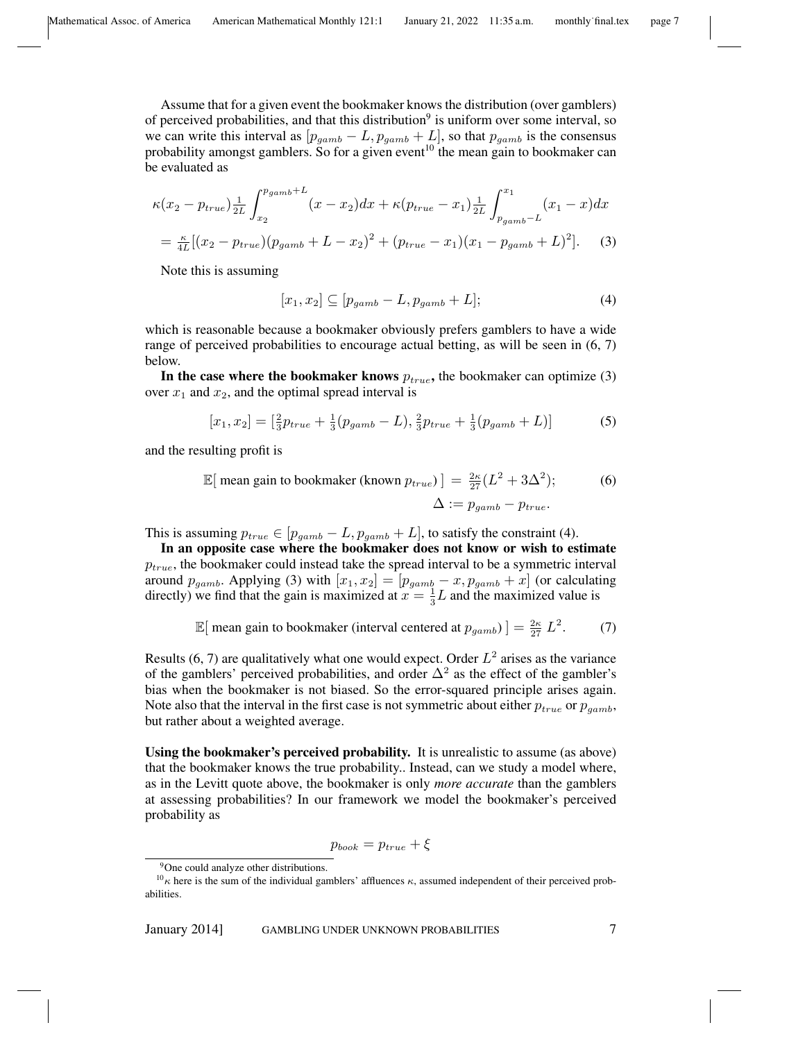Assume that for a given event the bookmaker knows the distribution (over gamblers) of perceived probabilities, and that this distribution<sup>9</sup> is uniform over some interval, so we can write this interval as  $[p_{\text{gamb}} - L, p_{\text{gamb}} + L]$ , so that  $p_{\text{gamb}}$  is the consensus probability amongst gamblers. So for a given event<sup>10</sup> the mean gain to bookmaker can be evaluated as

$$
\kappa(x_2 - p_{true})\frac{1}{2L} \int_{x_2}^{p_{gamb}+L} (x - x_2)dx + \kappa(p_{true} - x_1)\frac{1}{2L} \int_{p_{gamb}-L}^{x_1} (x_1 - x)dx
$$
  
=  $\frac{\kappa}{4L}[(x_2 - p_{true})(p_{gamb} + L - x_2)^2 + (p_{true} - x_1)(x_1 - p_{gamb} + L)^2].$  (3)

Note this is assuming

$$
[x_1, x_2] \subseteq [p_{\text{gamb}} - L, p_{\text{gamb}} + L];\tag{4}
$$

which is reasonable because a bookmaker obviously prefers gamblers to have a wide range of perceived probabilities to encourage actual betting, as will be seen in  $(6, 7)$ below.

In the case where the bookmaker knows  $p_{true}$ , the bookmaker can optimize (3) over  $x_1$  and  $x_2$ , and the optimal spread interval is

$$
[x_1, x_2] = \left[\frac{2}{3}p_{true} + \frac{1}{3}(p_{gamb} - L), \frac{2}{3}p_{true} + \frac{1}{3}(p_{gamb} + L)\right]
$$
 (5)

and the resulting profit is

$$
\mathbb{E}[\text{ mean gain to bookmaker (known } p_{true})] = \frac{2\kappa}{27} (L^2 + 3\Delta^2); \tag{6}
$$

$$
\Delta := p_{gamb} - p_{true}.
$$

This is assuming  $p_{true} \in [p_{gamb} - L, p_{gamb} + L]$ , to satisfy the constraint (4).

In an opposite case where the bookmaker does not know or wish to estimate  $p_{true}$ , the bookmaker could instead take the spread interval to be a symmetric interval around  $p_{\text{gamb}}$ . Applying (3) with  $[x_1, x_2] = [p_{\text{gamb}} - x, p_{\text{gamb}} + x]$  (or calculating directly) we find that the gain is maximized at  $x = \frac{1}{3}$  $\frac{1}{3}L$  and the maximized value is

$$
\mathbb{E}[\text{ mean gain to bookmaker (interval centered at } p_{gamb})] = \frac{2\kappa}{27} L^2. \tag{7}
$$

Results (6, 7) are qualitatively what one would expect. Order  $L^2$  arises as the variance of the gamblers' perceived probabilities, and order  $\Delta^2$  as the effect of the gambler's bias when the bookmaker is not biased. So the error-squared principle arises again. Note also that the interval in the first case is not symmetric about either  $p_{true}$  or  $p_{qamb}$ , but rather about a weighted average.

Using the bookmaker's perceived probability. It is unrealistic to assume (as above) that the bookmaker knows the true probability.. Instead, can we study a model where, as in the Levitt quote above, the bookmaker is only *more accurate* than the gamblers at assessing probabilities? In our framework we model the bookmaker's perceived probability as

$$
p_{book} = p_{true} + \xi
$$

<sup>9</sup>One could analyze other distributions.

 $10<sub>K</sub>$  here is the sum of the individual gamblers' affluences  $\kappa$ , assumed independent of their perceived probabilities.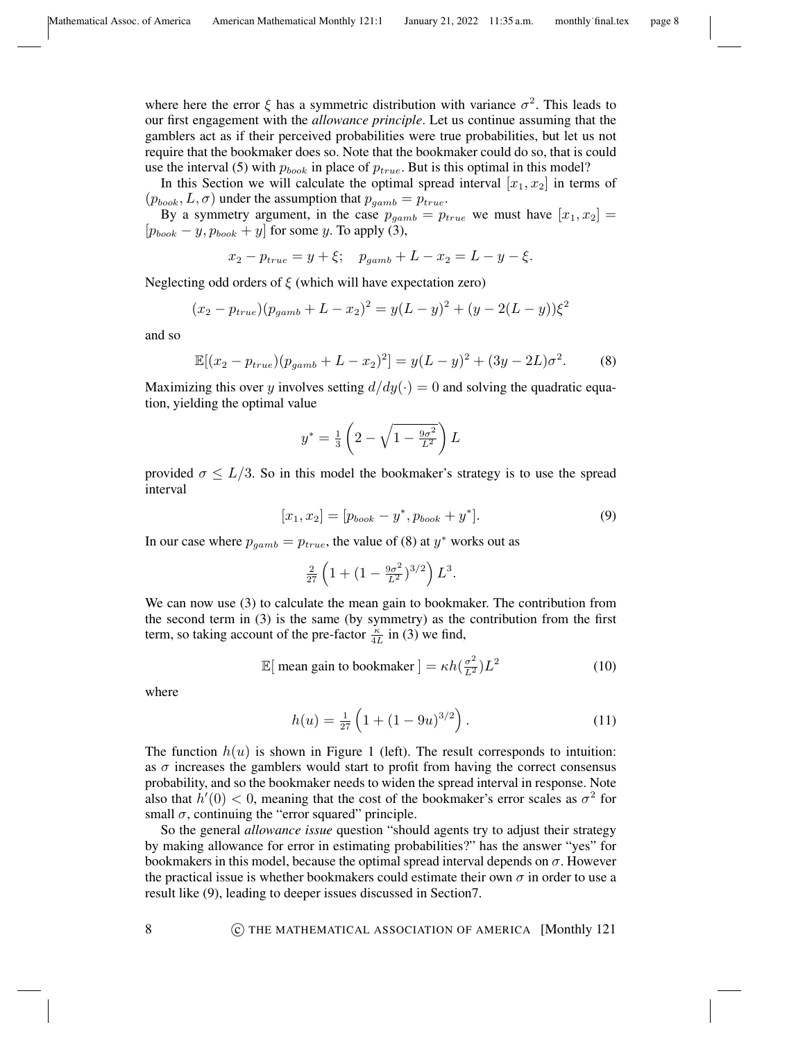where here the error  $\xi$  has a symmetric distribution with variance  $\sigma^2$ . This leads to our first engagement with the *allowance principle*. Let us continue assuming that the gamblers act as if their perceived probabilities were true probabilities, but let us not require that the bookmaker does so. Note that the bookmaker could do so, that is could use the interval (5) with  $p_{book}$  in place of  $p_{true}$ . But is this optimal in this model?

In this Section we will calculate the optimal spread interval  $[x_1, x_2]$  in terms of  $(p_{book}, L, \sigma)$  under the assumption that  $p_{gamb} = p_{true}$ .

By a symmetry argument, in the case  $p_{\text{gamb}} = p_{\text{true}}$  we must have  $[x_1, x_2] =$  $[p_{book} - y, p_{book} + y]$  for some y. To apply (3),

$$
x_2 - p_{true} = y + \xi; \quad p_{gamb} + L - x_2 = L - y - \xi.
$$

Neglecting odd orders of  $\xi$  (which will have expectation zero)

$$
(x_2 - p_{true})(p_{gamb} + L - x_2)^2 = y(L - y)^2 + (y - 2(L - y))\xi^2
$$

and so

$$
\mathbb{E}[(x_2 - p_{true})(p_{gamb} + L - x_2)^2] = y(L - y)^2 + (3y - 2L)\sigma^2.
$$
 (8)

Maximizing this over y involves setting  $d/dy(\cdot) = 0$  and solving the quadratic equation, yielding the optimal value

$$
y^* = \frac{1}{3} \left( 2 - \sqrt{1 - \frac{9\sigma^2}{L^2}} \right) L
$$

provided  $\sigma \leq L/3$ . So in this model the bookmaker's strategy is to use the spread interval

$$
[x_1, x_2] = [p_{book} - y^*, p_{book} + y^*].
$$
\n(9)

In our case where  $p_{\text{gamb}} = p_{\text{true}}$ , the value of (8) at  $y^*$  works out as

$$
\frac{2}{27}\left(1+(1-\frac{9\sigma^2}{L^2})^{3/2}\right)L^3.
$$

We can now use (3) to calculate the mean gain to bookmaker. The contribution from the second term in (3) is the same (by symmetry) as the contribution from the first term, so taking account of the pre-factor  $\frac{\kappa}{4L}$  in (3) we find,

$$
\mathbb{E}[\text{ mean gain to bookmaker}] = \kappa h(\frac{\sigma^2}{L^2})L^2 \tag{10}
$$

where

$$
h(u) = \frac{1}{27} \left( 1 + (1 - 9u)^{3/2} \right). \tag{11}
$$

The function  $h(u)$  is shown in Figure 1 (left). The result corresponds to intuition: as  $\sigma$  increases the gamblers would start to profit from having the correct consensus probability, and so the bookmaker needs to widen the spread interval in response. Note also that  $h'(0) < 0$ , meaning that the cost of the bookmaker's error scales as  $\sigma^2$  for small  $\sigma$ , continuing the "error squared" principle.

So the general *allowance issue* question "should agents try to adjust their strategy by making allowance for error in estimating probabilities?" has the answer "yes" for bookmakers in this model, because the optimal spread interval depends on  $\sigma$ . However the practical issue is whether bookmakers could estimate their own  $\sigma$  in order to use a result like (9), leading to deeper issues discussed in Section7.

8 **8 COLTAGE CONSTRUGE CONTROL ASSOCIATION OF AMERICA** [Monthly 121]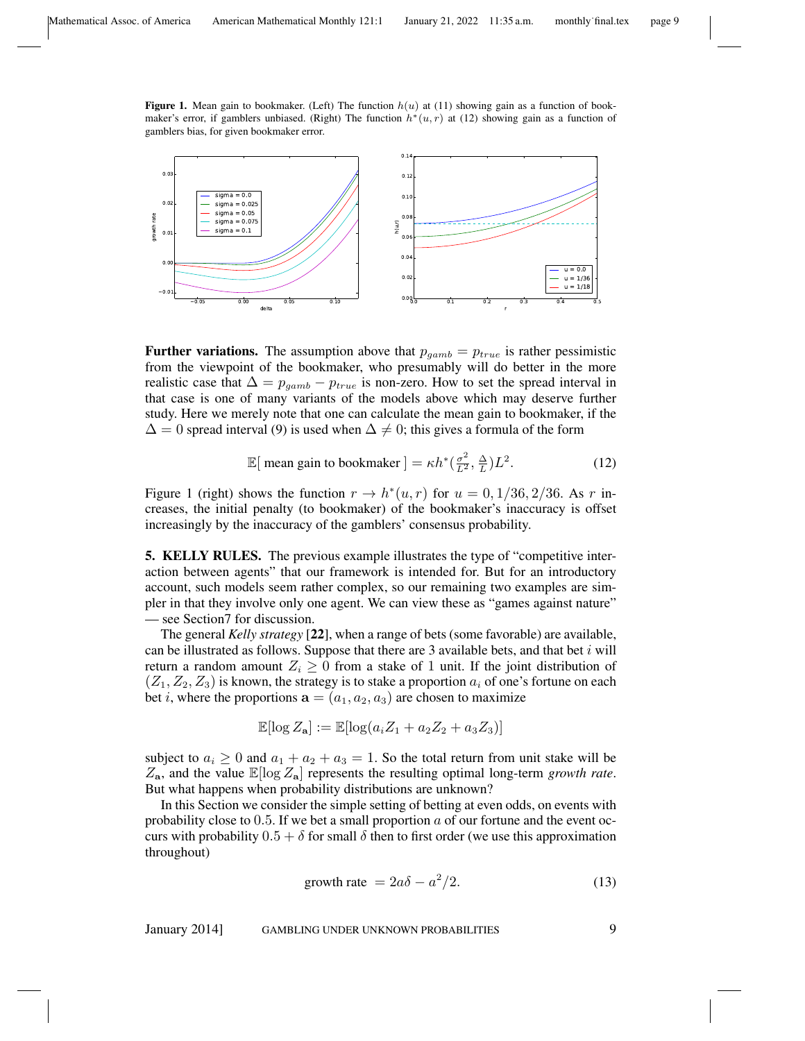Figure 1. Mean gain to bookmaker. (Left) The function  $h(u)$  at (11) showing gain as a function of bookmaker's error, if gamblers unbiased. (Right) The function  $h^*(u, r)$  at (12) showing gain as a function of gamblers bias, for given bookmaker error.



**Further variations.** The assumption above that  $p_{qamb} = p_{true}$  is rather pessimistic from the viewpoint of the bookmaker, who presumably will do better in the more realistic case that  $\Delta = p_{\text{qamb}} - p_{\text{true}}$  is non-zero. How to set the spread interval in that case is one of many variants of the models above which may deserve further study. Here we merely note that one can calculate the mean gain to bookmaker, if the  $\Delta = 0$  spread interval (9) is used when  $\Delta \neq 0$ ; this gives a formula of the form

$$
\mathbb{E}[\text{ mean gain to bookmaker}] = \kappa h^* \left(\frac{\sigma^2}{L^2}, \frac{\Delta}{L}\right) L^2. \tag{12}
$$

Figure 1 (right) shows the function  $r \to h^*(u, r)$  for  $u = 0, 1/36, 2/36$ . As r increases, the initial penalty (to bookmaker) of the bookmaker's inaccuracy is offset increasingly by the inaccuracy of the gamblers' consensus probability.

5. KELLY RULES. The previous example illustrates the type of "competitive interaction between agents" that our framework is intended for. But for an introductory account, such models seem rather complex, so our remaining two examples are simpler in that they involve only one agent. We can view these as "games against nature" — see Section7 for discussion.

The general *Kelly strategy* [22], when a range of bets (some favorable) are available, can be illustrated as follows. Suppose that there are  $3$  available bets, and that bet  $i$  will return a random amount  $Z_i \geq 0$  from a stake of 1 unit. If the joint distribution of  $(Z_1, Z_2, Z_3)$  is known, the strategy is to stake a proportion  $a_i$  of one's fortune on each bet i, where the proportions  $a = (a_1, a_2, a_3)$  are chosen to maximize

$$
\mathbb{E}[\log Z_{\mathbf{a}}] := \mathbb{E}[\log(a_i Z_1 + a_2 Z_2 + a_3 Z_3)]
$$

subject to  $a_i \geq 0$  and  $a_1 + a_2 + a_3 = 1$ . So the total return from unit stake will be  $Z_{\rm a}$ , and the value  $\mathbb{E}[\log Z_{\rm a}]$  represents the resulting optimal long-term *growth rate*. But what happens when probability distributions are unknown?

In this Section we consider the simple setting of betting at even odds, on events with probability close to 0.5. If we bet a small proportion  $\alpha$  of our fortune and the event occurs with probability  $0.5 + \delta$  for small  $\delta$  then to first order (we use this approximation throughout)

$$
growth rate = 2a\delta - a^2/2.
$$
 (13)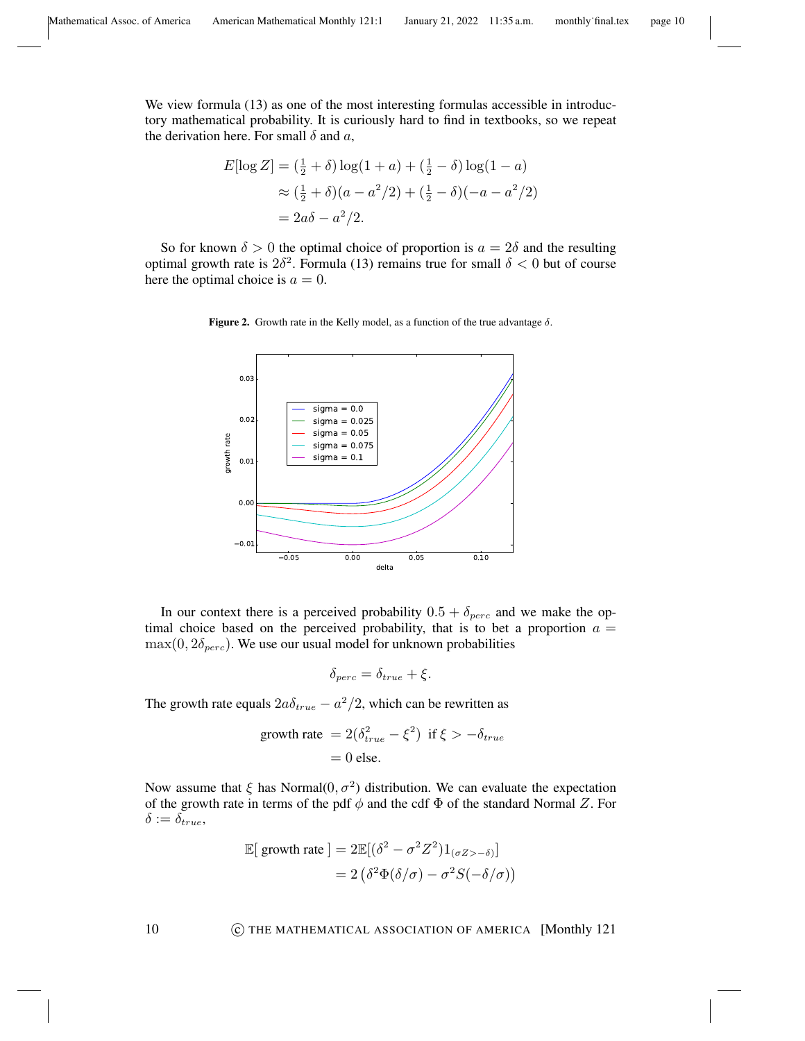We view formula (13) as one of the most interesting formulas accessible in introductory mathematical probability. It is curiously hard to find in textbooks, so we repeat the derivation here. For small  $\delta$  and  $a$ ,

$$
E[\log Z] = (\frac{1}{2} + \delta) \log(1 + a) + (\frac{1}{2} - \delta) \log(1 - a)
$$
  
\n
$$
\approx (\frac{1}{2} + \delta)(a - a^2/2) + (\frac{1}{2} - \delta)(-a - a^2/2)
$$
  
\n
$$
= 2a\delta - a^2/2.
$$

So for known  $\delta > 0$  the optimal choice of proportion is  $a = 2\delta$  and the resulting optimal growth rate is  $2\delta^2$ . Formula (13) remains true for small  $\delta < 0$  but of course here the optimal choice is  $a = 0$ .





In our context there is a perceived probability  $0.5 + \delta_{perc}$  and we make the optimal choice based on the perceived probability, that is to bet a proportion  $a =$  $max(0, 2\delta_{perc})$ . We use our usual model for unknown probabilities

$$
\delta_{perc} = \delta_{true} + \xi.
$$

The growth rate equals  $2a\delta_{true} - a^2/2$ , which can be rewritten as

growth rate = 
$$
2(\delta_{true}^2 - \xi^2)
$$
 if  $\xi > -\delta_{true}$   
= 0 else.

Now assume that  $\xi$  has Normal $(0, \sigma^2)$  distribution. We can evaluate the expectation of the growth rate in terms of the pdf  $\phi$  and the cdf  $\Phi$  of the standard Normal Z. For  $\delta := \delta_{true},$ 

$$
\mathbb{E}[\text{ growth rate}] = 2\mathbb{E}[(\delta^2 - \sigma^2 Z^2)1_{(\sigma Z > -\delta)}]
$$

$$
= 2(\delta^2 \Phi(\delta/\sigma) - \sigma^2 S(-\delta/\sigma))
$$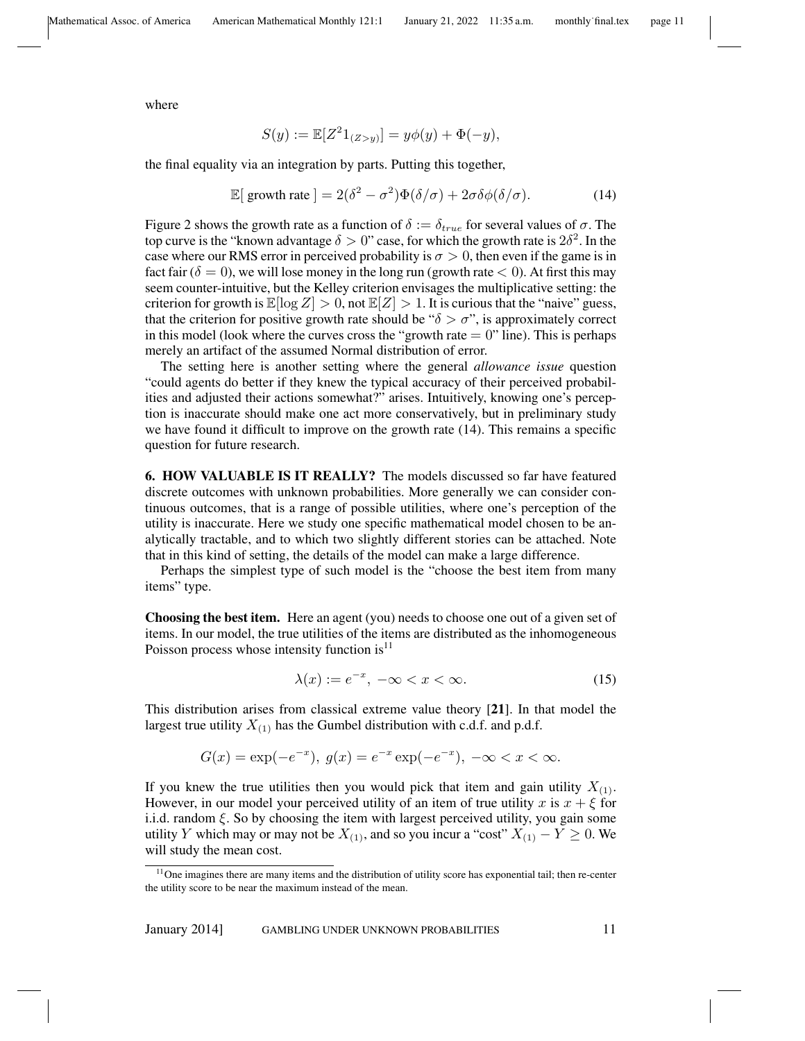where

$$
S(y) := \mathbb{E}[Z^2 1_{(Z>y)}] = y\phi(y) + \Phi(-y),
$$

the final equality via an integration by parts. Putting this together,

$$
\mathbb{E}[\text{ growth rate}] = 2(\delta^2 - \sigma^2)\Phi(\delta/\sigma) + 2\sigma\delta\phi(\delta/\sigma). \tag{14}
$$

Figure 2 shows the growth rate as a function of  $\delta := \delta_{true}$  for several values of  $\sigma$ . The top curve is the "known advantage  $\delta > 0$ " case, for which the growth rate is  $2\delta^2$ . In the case where our RMS error in perceived probability is  $\sigma > 0$ , then even if the game is in fact fair ( $\delta = 0$ ), we will lose money in the long run (growth rate  $< 0$ ). At first this may seem counter-intuitive, but the Kelley criterion envisages the multiplicative setting: the criterion for growth is  $\mathbb{E}[\log Z] > 0$ , not  $\mathbb{E}[Z] > 1$ . It is curious that the "naive" guess, that the criterion for positive growth rate should be " $\delta > \sigma$ ", is approximately correct in this model (look where the curves cross the "growth rate  $= 0$ " line). This is perhaps merely an artifact of the assumed Normal distribution of error.

The setting here is another setting where the general *allowance issue* question "could agents do better if they knew the typical accuracy of their perceived probabilities and adjusted their actions somewhat?" arises. Intuitively, knowing one's perception is inaccurate should make one act more conservatively, but in preliminary study we have found it difficult to improve on the growth rate (14). This remains a specific question for future research.

6. HOW VALUABLE IS IT REALLY? The models discussed so far have featured discrete outcomes with unknown probabilities. More generally we can consider continuous outcomes, that is a range of possible utilities, where one's perception of the utility is inaccurate. Here we study one specific mathematical model chosen to be analytically tractable, and to which two slightly different stories can be attached. Note that in this kind of setting, the details of the model can make a large difference.

Perhaps the simplest type of such model is the "choose the best item from many items" type.

Choosing the best item. Here an agent (you) needs to choose one out of a given set of items. In our model, the true utilities of the items are distributed as the inhomogeneous Poisson process whose intensity function  $is<sup>11</sup>$ 

$$
\lambda(x) := e^{-x}, \ -\infty < x < \infty. \tag{15}
$$

This distribution arises from classical extreme value theory [21]. In that model the largest true utility  $X_{(1)}$  has the Gumbel distribution with c.d.f. and p.d.f.

$$
G(x) = \exp(-e^{-x}), \ g(x) = e^{-x} \exp(-e^{-x}), \ -\infty < x < \infty.
$$

If you knew the true utilities then you would pick that item and gain utility  $X_{(1)}$ . However, in our model your perceived utility of an item of true utility x is  $x + \xi$  for i.i.d. random  $\xi$ . So by choosing the item with largest perceived utility, you gain some utility Y which may or may not be  $X_{(1)}$ , and so you incur a "cost"  $X_{(1)} - Y \ge 0$ . We will study the mean cost.

<sup>&</sup>lt;sup>11</sup>One imagines there are many items and the distribution of utility score has exponential tail; then re-center the utility score to be near the maximum instead of the mean.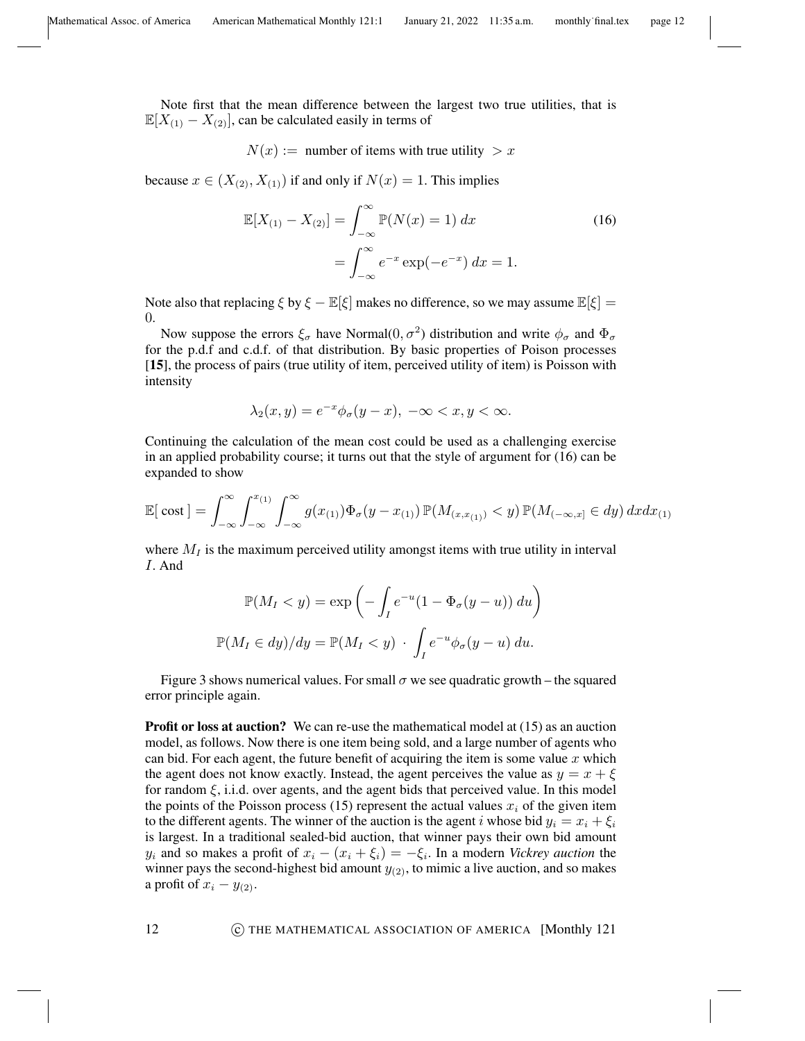Note first that the mean difference between the largest two true utilities, that is  $\mathbb{E}[X_{(1)} - X_{(2)}],$  can be calculated easily in terms of

 $N(x) :=$  number of items with true utility  $> x$ 

because  $x \in (X_{(2)}, X_{(1)})$  if and only if  $N(x) = 1$ . This implies

$$
\mathbb{E}[X_{(1)} - X_{(2)}] = \int_{-\infty}^{\infty} \mathbb{P}(N(x) = 1) dx
$$
\n
$$
= \int_{-\infty}^{\infty} e^{-x} \exp(-e^{-x}) dx = 1.
$$
\n(16)

Note also that replacing  $\xi$  by  $\xi - \mathbb{E}[\xi]$  makes no difference, so we may assume  $\mathbb{E}[\xi] =$ 0.

Now suppose the errors  $\xi_{\sigma}$  have Normal(0,  $\sigma^2$ ) distribution and write  $\phi_{\sigma}$  and  $\Phi_{\sigma}$ for the p.d.f and c.d.f. of that distribution. By basic properties of Poison processes [15], the process of pairs (true utility of item, perceived utility of item) is Poisson with intensity

$$
\lambda_2(x,y) = e^{-x} \phi_\sigma(y-x), \ -\infty < x, y < \infty.
$$

Continuing the calculation of the mean cost could be used as a challenging exercise in an applied probability course; it turns out that the style of argument for (16) can be expanded to show

$$
\mathbb{E}[\cosh] = \int_{-\infty}^{\infty} \int_{-\infty}^{x_{(1)}} \int_{-\infty}^{\infty} g(x_{(1)}) \Phi_{\sigma}(y - x_{(1)}) \, \mathbb{P}(M_{(x, x_{(1)})} < y) \, \mathbb{P}(M_{(-\infty, x]} \in dy) \, dx \, dx_{(1)}
$$

where  $M_I$  is the maximum perceived utility amongst items with true utility in interval I. And

$$
\mathbb{P}(M_I < y) = \exp\left(-\int_I e^{-u}(1 - \Phi_\sigma(y - u)) \, du\right)
$$
\n
$$
\mathbb{P}(M_I \in dy) / dy = \mathbb{P}(M_I < y) \cdot \int_I e^{-u} \phi_\sigma(y - u) \, du.
$$

Figure 3 shows numerical values. For small  $\sigma$  we see quadratic growth – the squared error principle again.

Profit or loss at auction? We can re-use the mathematical model at (15) as an auction model, as follows. Now there is one item being sold, and a large number of agents who can bid. For each agent, the future benefit of acquiring the item is some value  $x$  which the agent does not know exactly. Instead, the agent perceives the value as  $y = x + \xi$ for random  $\xi$ , i.i.d. over agents, and the agent bids that perceived value. In this model the points of the Poisson process (15) represent the actual values  $x_i$  of the given item to the different agents. The winner of the auction is the agent i whose bid  $y_i = x_i + \xi_i$ is largest. In a traditional sealed-bid auction, that winner pays their own bid amount  $y_i$  and so makes a profit of  $x_i - (x_i + \xi_i) = -\xi_i$ . In a modern *Vickrey auction* the winner pays the second-highest bid amount  $y_{(2)}$ , to mimic a live auction, and so makes a profit of  $x_i - y_{(2)}$ .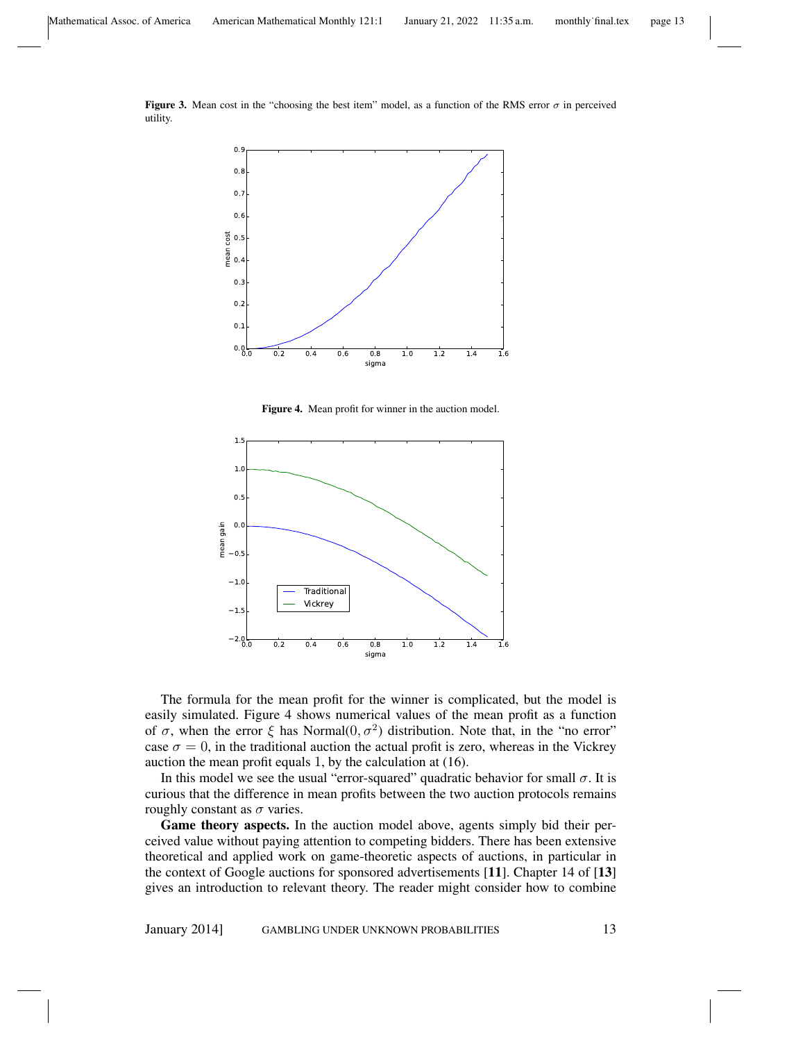Figure 3. Mean cost in the "choosing the best item" model, as a function of the RMS error  $\sigma$  in perceived utility.



Figure 4. Mean profit for winner in the auction model.



The formula for the mean profit for the winner is complicated, but the model is easily simulated. Figure 4 shows numerical values of the mean profit as a function of  $\sigma$ , when the error  $\xi$  has Normal $(0, \sigma^2)$  distribution. Note that, in the "no error" case  $\sigma = 0$ , in the traditional auction the actual profit is zero, whereas in the Vickrey auction the mean profit equals 1, by the calculation at (16).

In this model we see the usual "error-squared" quadratic behavior for small  $\sigma$ . It is curious that the difference in mean profits between the two auction protocols remains roughly constant as  $\sigma$  varies.

Game theory aspects. In the auction model above, agents simply bid their perceived value without paying attention to competing bidders. There has been extensive theoretical and applied work on game-theoretic aspects of auctions, in particular in the context of Google auctions for sponsored advertisements [11]. Chapter 14 of [13] gives an introduction to relevant theory. The reader might consider how to combine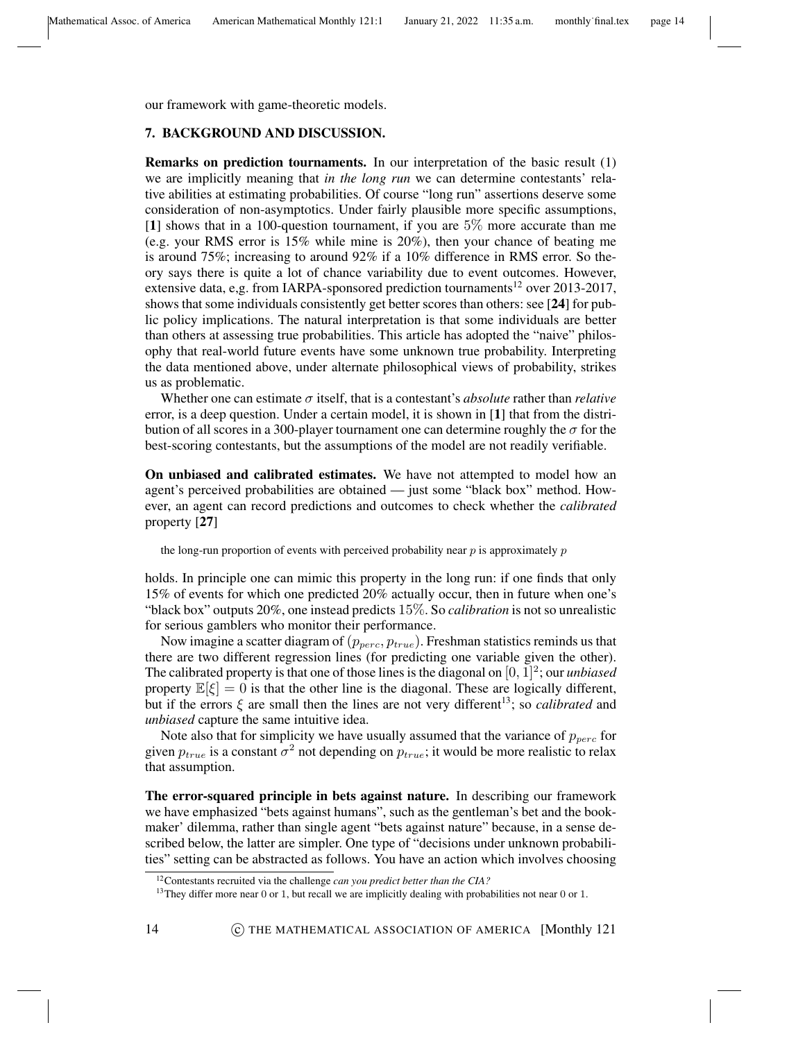our framework with game-theoretic models.

## 7. BACKGROUND AND DISCUSSION.

Remarks on prediction tournaments. In our interpretation of the basic result (1) we are implicitly meaning that *in the long run* we can determine contestants' relative abilities at estimating probabilities. Of course "long run" assertions deserve some consideration of non-asymptotics. Under fairly plausible more specific assumptions, [1] shows that in a 100-question tournament, if you are 5% more accurate than me (e.g. your RMS error is 15% while mine is 20%), then your chance of beating me is around 75%; increasing to around 92% if a 10% difference in RMS error. So theory says there is quite a lot of chance variability due to event outcomes. However, extensive data, e,g. from IARPA-sponsored prediction tournaments<sup>12</sup> over 2013-2017, shows that some individuals consistently get better scores than others: see [24] for public policy implications. The natural interpretation is that some individuals are better than others at assessing true probabilities. This article has adopted the "naive" philosophy that real-world future events have some unknown true probability. Interpreting the data mentioned above, under alternate philosophical views of probability, strikes us as problematic.

Whether one can estimate  $\sigma$  itself, that is a contestant's *absolute* rather than *relative* error, is a deep question. Under a certain model, it is shown in [1] that from the distribution of all scores in a 300-player tournament one can determine roughly the  $\sigma$  for the best-scoring contestants, but the assumptions of the model are not readily verifiable.

On unbiased and calibrated estimates. We have not attempted to model how an agent's perceived probabilities are obtained — just some "black box" method. However, an agent can record predictions and outcomes to check whether the *calibrated* property [27]

the long-run proportion of events with perceived probability near  $p$  is approximately  $p$ 

holds. In principle one can mimic this property in the long run: if one finds that only 15% of events for which one predicted 20% actually occur, then in future when one's "black box" outputs 20%, one instead predicts 15%. So *calibration* is not so unrealistic for serious gamblers who monitor their performance.

Now imagine a scatter diagram of  $(p_{perc}, p_{true})$ . Freshman statistics reminds us that there are two different regression lines (for predicting one variable given the other). The calibrated property is that one of those lines is the diagonal on  $[0, 1]^2$ ; our *unbiased* property  $\mathbb{E}[\xi] = 0$  is that the other line is the diagonal. These are logically different, but if the errors  $\xi$  are small then the lines are not very different<sup>13</sup>; so *calibrated* and *unbiased* capture the same intuitive idea.

Note also that for simplicity we have usually assumed that the variance of  $p_{perc}$  for given  $p_{true}$  is a constant  $\sigma^2$  not depending on  $p_{true}$ ; it would be more realistic to relax that assumption.

The error-squared principle in bets against nature. In describing our framework we have emphasized "bets against humans", such as the gentleman's bet and the bookmaker' dilemma, rather than single agent "bets against nature" because, in a sense described below, the latter are simpler. One type of "decisions under unknown probabilities" setting can be abstracted as follows. You have an action which involves choosing

<sup>12</sup>Contestants recruited via the challenge *can you predict better than the CIA?*

<sup>&</sup>lt;sup>13</sup>They differ more near 0 or 1, but recall we are implicitly dealing with probabilities not near 0 or 1.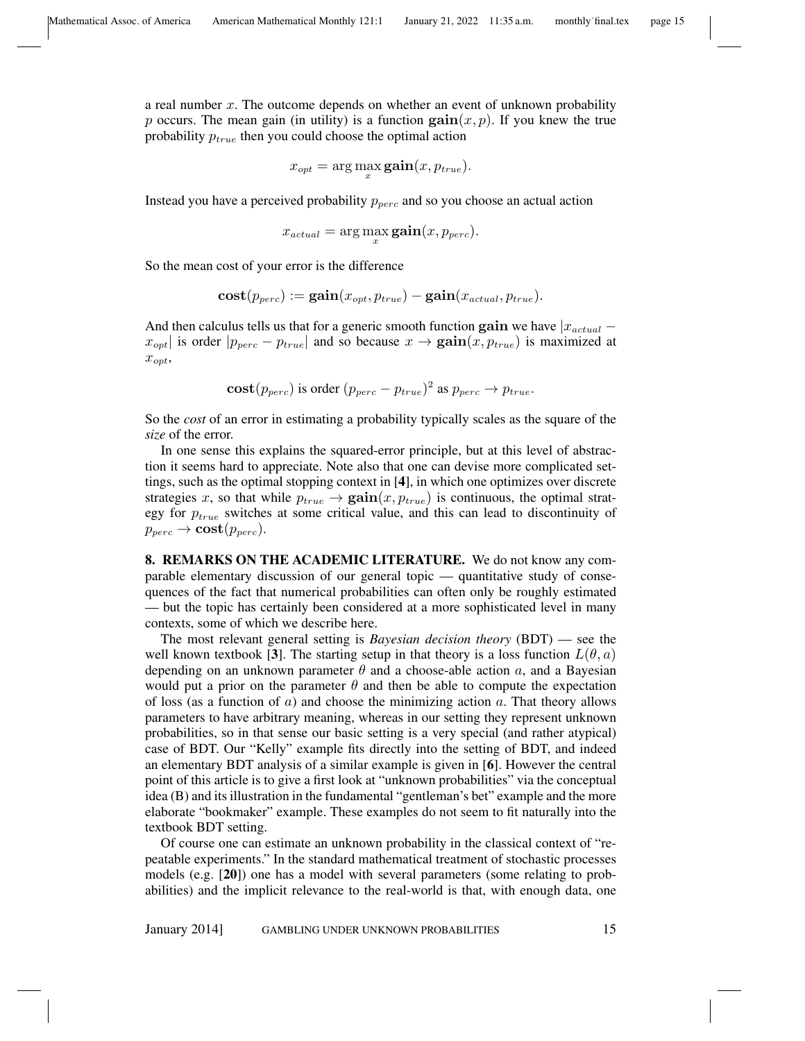a real number x. The outcome depends on whether an event of unknown probability p occurs. The mean gain (in utility) is a function  $\text{gain}(x, p)$ . If you knew the true probability  $p_{true}$  then you could choose the optimal action

$$
x_{opt} = \arg\max_{x} \text{gain}(x, p_{true}).
$$

Instead you have a perceived probability  $p_{perc}$  and so you choose an actual action

$$
x_{actual} = \arg\max_{x} \textbf{gain}(x, p_{perc}).
$$

So the mean cost of your error is the difference

$$
cost(p_{perc}) := \textbf{gain}(x_{opt}, p_{true}) - \textbf{gain}(x_{actual}, p_{true}).
$$

And then calculus tells us that for a generic smooth function gain we have  $|x_{actual}$  $x_{opt}$  is order  $|p_{perc} - p_{true}|$  and so because  $x \to \textbf{gain}(x, p_{true})$  is maximized at  $x_{opt}$ 

$$
cost(p_{perc}) \text{ is order } (p_{perc} - p_{true})^2 \text{ as } p_{perc} \rightarrow p_{true}.
$$

So the *cost* of an error in estimating a probability typically scales as the square of the *size* of the error.

In one sense this explains the squared-error principle, but at this level of abstraction it seems hard to appreciate. Note also that one can devise more complicated settings, such as the optimal stopping context in [4], in which one optimizes over discrete strategies x, so that while  $p_{true} \rightarrow \text{gain}(x, p_{true})$  is continuous, the optimal strategy for  $p_{true}$  switches at some critical value, and this can lead to discontinuity of  $p_{perc} \rightarrow \textbf{cost}(p_{perc}).$ 

8. REMARKS ON THE ACADEMIC LITERATURE. We do not know any comparable elementary discussion of our general topic — quantitative study of consequences of the fact that numerical probabilities can often only be roughly estimated — but the topic has certainly been considered at a more sophisticated level in many contexts, some of which we describe here.

The most relevant general setting is *Bayesian decision theory* (BDT) — see the well known textbook [3]. The starting setup in that theory is a loss function  $L(\theta, a)$ depending on an unknown parameter  $\theta$  and a choose-able action  $a$ , and a Bayesian would put a prior on the parameter  $\theta$  and then be able to compute the expectation of loss (as a function of  $\alpha$ ) and choose the minimizing action  $\alpha$ . That theory allows parameters to have arbitrary meaning, whereas in our setting they represent unknown probabilities, so in that sense our basic setting is a very special (and rather atypical) case of BDT. Our "Kelly" example fits directly into the setting of BDT, and indeed an elementary BDT analysis of a similar example is given in [6]. However the central point of this article is to give a first look at "unknown probabilities" via the conceptual idea (B) and its illustration in the fundamental "gentleman's bet" example and the more elaborate "bookmaker" example. These examples do not seem to fit naturally into the textbook BDT setting.

Of course one can estimate an unknown probability in the classical context of "repeatable experiments." In the standard mathematical treatment of stochastic processes models (e.g. [20]) one has a model with several parameters (some relating to probabilities) and the implicit relevance to the real-world is that, with enough data, one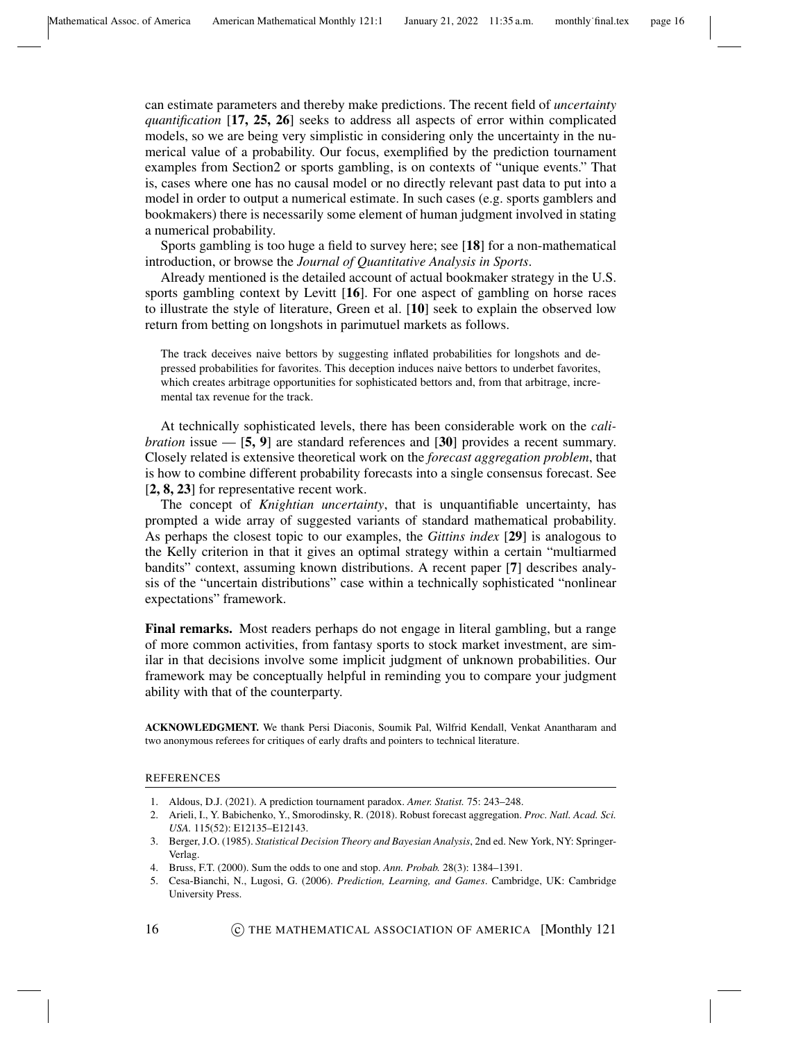can estimate parameters and thereby make predictions. The recent field of *uncertainty quantification* [17, 25, 26] seeks to address all aspects of error within complicated models, so we are being very simplistic in considering only the uncertainty in the numerical value of a probability. Our focus, exemplified by the prediction tournament examples from Section2 or sports gambling, is on contexts of "unique events." That is, cases where one has no causal model or no directly relevant past data to put into a model in order to output a numerical estimate. In such cases (e.g. sports gamblers and bookmakers) there is necessarily some element of human judgment involved in stating a numerical probability.

Sports gambling is too huge a field to survey here; see [18] for a non-mathematical introduction, or browse the *Journal of Quantitative Analysis in Sports*.

Already mentioned is the detailed account of actual bookmaker strategy in the U.S. sports gambling context by Levitt [16]. For one aspect of gambling on horse races to illustrate the style of literature, Green et al. [10] seek to explain the observed low return from betting on longshots in parimutuel markets as follows.

The track deceives naive bettors by suggesting inflated probabilities for longshots and depressed probabilities for favorites. This deception induces naive bettors to underbet favorites, which creates arbitrage opportunities for sophisticated bettors and, from that arbitrage, incremental tax revenue for the track.

At technically sophisticated levels, there has been considerable work on the *calibration* issue —  $[5, 9]$  are standard references and  $[30]$  provides a recent summary. Closely related is extensive theoretical work on the *forecast aggregation problem*, that is how to combine different probability forecasts into a single consensus forecast. See [2, 8, 23] for representative recent work.

The concept of *Knightian uncertainty*, that is unquantifiable uncertainty, has prompted a wide array of suggested variants of standard mathematical probability. As perhaps the closest topic to our examples, the *Gittins index* [29] is analogous to the Kelly criterion in that it gives an optimal strategy within a certain "multiarmed bandits" context, assuming known distributions. A recent paper [7] describes analysis of the "uncertain distributions" case within a technically sophisticated "nonlinear expectations" framework.

Final remarks. Most readers perhaps do not engage in literal gambling, but a range of more common activities, from fantasy sports to stock market investment, are similar in that decisions involve some implicit judgment of unknown probabilities. Our framework may be conceptually helpful in reminding you to compare your judgment ability with that of the counterparty.

ACKNOWLEDGMENT. We thank Persi Diaconis, Soumik Pal, Wilfrid Kendall, Venkat Anantharam and two anonymous referees for critiques of early drafts and pointers to technical literature.

## REFERENCES

- 1. Aldous, D.J. (2021). A prediction tournament paradox. *Amer. Statist.* 75: 243–248.
- 2. Arieli, I., Y. Babichenko, Y., Smorodinsky, R. (2018). Robust forecast aggregation. *Proc. Natl. Acad. Sci. USA.* 115(52): E12135–E12143.
- 3. Berger, J.O. (1985). *Statistical Decision Theory and Bayesian Analysis*, 2nd ed. New York, NY: Springer-Verlag.
- 4. Bruss, F.T. (2000). Sum the odds to one and stop. *Ann. Probab.* 28(3): 1384–1391.
- 5. Cesa-Bianchi, N., Lugosi, G. (2006). *Prediction, Learning, and Games*. Cambridge, UK: Cambridge University Press.